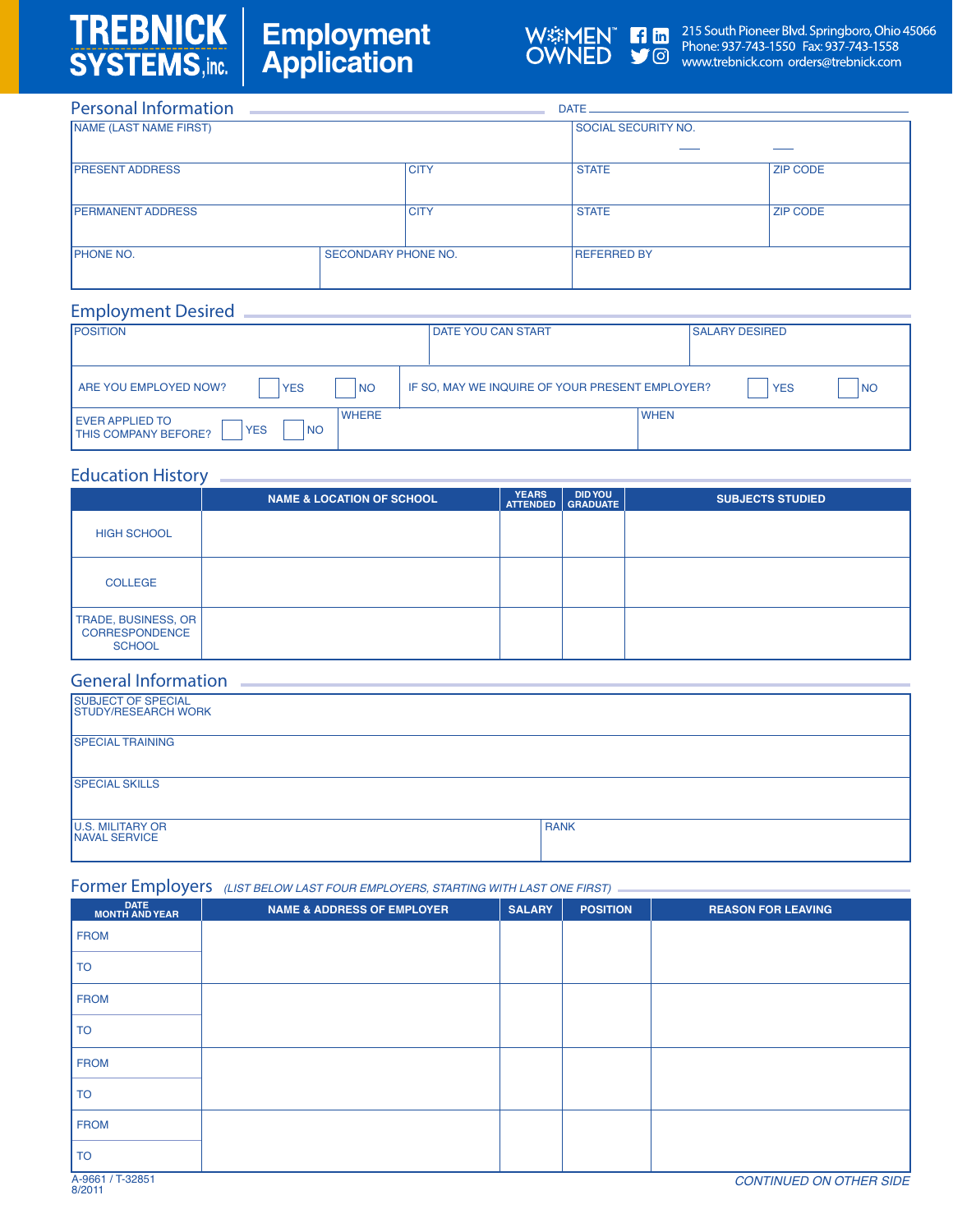# TREBNICK **Employment Application**



W%MEN Tin 215 South Pioneer Blvd. Springboro, Ohio 45066<br>
OWNED SOM Phone: 937-743-1550 Fax: 937-743-1558<br>
www.trebnick.com orders@trebnick.com

| <b>Personal Information</b> |                            |             |                            |                 |  |  |
|-----------------------------|----------------------------|-------------|----------------------------|-----------------|--|--|
| NAME (LAST NAME FIRST)      |                            |             | <b>SOCIAL SECURITY NO.</b> |                 |  |  |
|                             |                            |             |                            |                 |  |  |
| <b>PRESENT ADDRESS</b>      |                            | <b>CITY</b> | <b>STATE</b>               | <b>ZIP CODE</b> |  |  |
| <b>PERMANENT ADDRESS</b>    |                            | <b>CITY</b> | <b>STATE</b>               | <b>ZIP CODE</b> |  |  |
| <b>IPHONE NO.</b>           | <b>SECONDARY PHONE NO.</b> |             | <b>REFERRED BY</b>         |                 |  |  |

## *Employment Desired*

| <b>POSITION</b>                                                                                   | <b>DATE YOU CAN START</b>                       |             | <b>SALARY DESIRED</b> |      |
|---------------------------------------------------------------------------------------------------|-------------------------------------------------|-------------|-----------------------|------|
|                                                                                                   |                                                 |             |                       |      |
| ARE YOU EMPLOYED NOW?<br><b>NO</b><br><b>YES</b>                                                  | IF SO, MAY WE INQUIRE OF YOUR PRESENT EMPLOYER? |             | <b>YES</b>            | I NO |
| <b>WHERE</b><br><b>EVER APPLIED TO</b><br><b>YES</b><br><b>NO</b><br><b>ITHIS COMPANY BEFORE?</b> |                                                 | <b>WHEN</b> |                       |      |

### *Education History*

|                                                               | <b>NAME &amp; LOCATION OF SCHOOL</b> | <b>YEARS</b><br><b>ATTENDED</b> | <b>DID YOU</b><br><b>GRADUATE</b> | <b>SUBJECTS STUDIED</b> |
|---------------------------------------------------------------|--------------------------------------|---------------------------------|-----------------------------------|-------------------------|
| <b>HIGH SCHOOL</b>                                            |                                      |                                 |                                   |                         |
| <b>COLLEGE</b>                                                |                                      |                                 |                                   |                         |
| TRADE, BUSINESS, OR<br><b>CORRESPONDENCE</b><br><b>SCHOOL</b> |                                      |                                 |                                   |                         |

## *General Information*

| <b>SUBJECT OF SPECIAL</b><br><b>STUDY/RESEARCH WORK</b> |             |
|---------------------------------------------------------|-------------|
| <b>SPECIAL TRAINING</b>                                 |             |
| <b>SPECIAL SKILLS</b>                                   |             |
| <b>U.S. MILITARY OR</b><br><b>NAVAL SERVICE</b>         | <b>RANK</b> |

## *Former Employers (LIST BELOW LAST FOUR EMPLOYERS, STARTING WITH LAST ONE FIRST)*

| DATE<br>MONTH AND YEAR | <b>NAME &amp; ADDRESS OF EMPLOYER</b> | <b>SALARY</b> | <b>POSITION</b> | <b>REASON FOR LEAVING</b> |
|------------------------|---------------------------------------|---------------|-----------------|---------------------------|
| <b>FROM</b>            |                                       |               |                 |                           |
| <b>TO</b>              |                                       |               |                 |                           |
| <b>FROM</b>            |                                       |               |                 |                           |
| <b>TO</b>              |                                       |               |                 |                           |
| <b>FROM</b>            |                                       |               |                 |                           |
| <b>TO</b>              |                                       |               |                 |                           |
| <b>FROM</b>            |                                       |               |                 |                           |
| <b>TO</b>              |                                       |               |                 |                           |